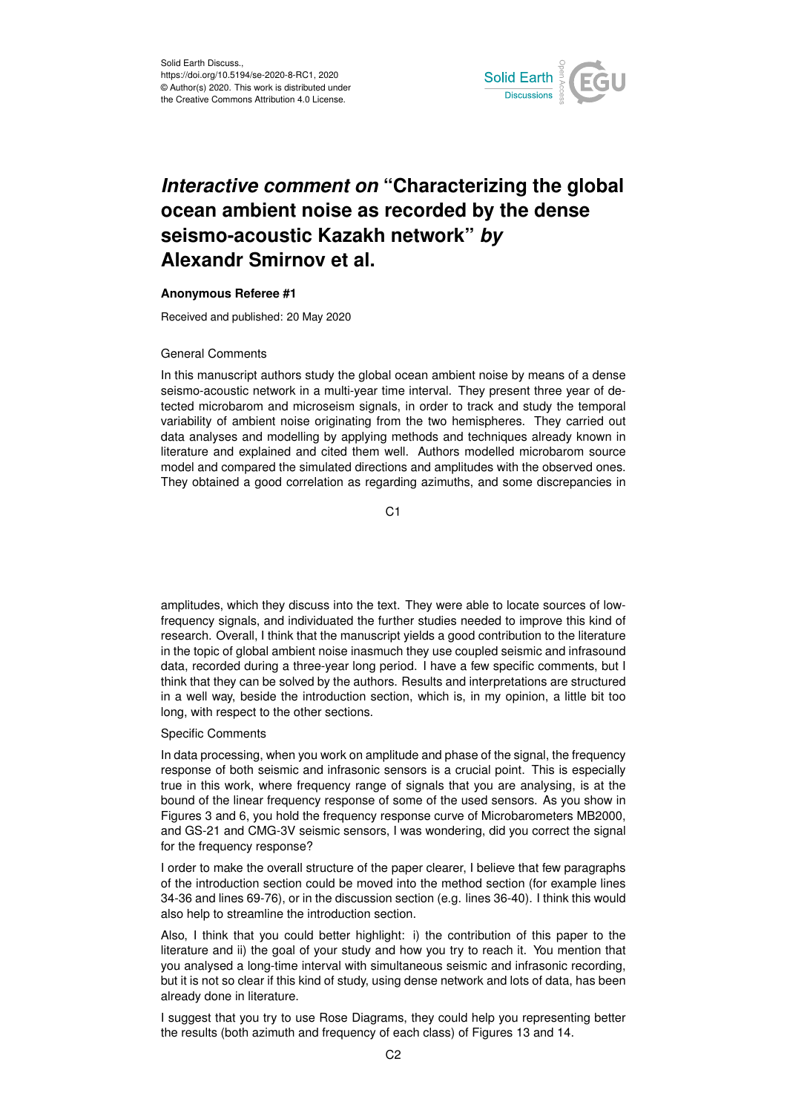

## *Interactive comment on* **"Characterizing the global ocean ambient noise as recorded by the dense seismo-acoustic Kazakh network"** *by* **Alexandr Smirnov et al.**

## **Anonymous Referee #1**

Received and published: 20 May 2020

## General Comments

In this manuscript authors study the global ocean ambient noise by means of a dense seismo-acoustic network in a multi-year time interval. They present three year of detected microbarom and microseism signals, in order to track and study the temporal variability of ambient noise originating from the two hemispheres. They carried out data analyses and modelling by applying methods and techniques already known in literature and explained and cited them well. Authors modelled microbarom source model and compared the simulated directions and amplitudes with the observed ones. They obtained a good correlation as regarding azimuths, and some discrepancies in

C1

amplitudes, which they discuss into the text. They were able to locate sources of lowfrequency signals, and individuated the further studies needed to improve this kind of research. Overall, I think that the manuscript yields a good contribution to the literature in the topic of global ambient noise inasmuch they use coupled seismic and infrasound data, recorded during a three-year long period. I have a few specific comments, but I think that they can be solved by the authors. Results and interpretations are structured in a well way, beside the introduction section, which is, in my opinion, a little bit too long, with respect to the other sections.

## Specific Comments

In data processing, when you work on amplitude and phase of the signal, the frequency response of both seismic and infrasonic sensors is a crucial point. This is especially true in this work, where frequency range of signals that you are analysing, is at the bound of the linear frequency response of some of the used sensors. As you show in Figures 3 and 6, you hold the frequency response curve of Microbarometers MB2000, and GS-21 and CMG-3V seismic sensors, I was wondering, did you correct the signal for the frequency response?

I order to make the overall structure of the paper clearer, I believe that few paragraphs of the introduction section could be moved into the method section (for example lines 34-36 and lines 69-76), or in the discussion section (e.g. lines 36-40). I think this would also help to streamline the introduction section.

Also, I think that you could better highlight: i) the contribution of this paper to the literature and ii) the goal of your study and how you try to reach it. You mention that you analysed a long-time interval with simultaneous seismic and infrasonic recording, but it is not so clear if this kind of study, using dense network and lots of data, has been already done in literature.

I suggest that you try to use Rose Diagrams, they could help you representing better the results (both azimuth and frequency of each class) of Figures 13 and 14.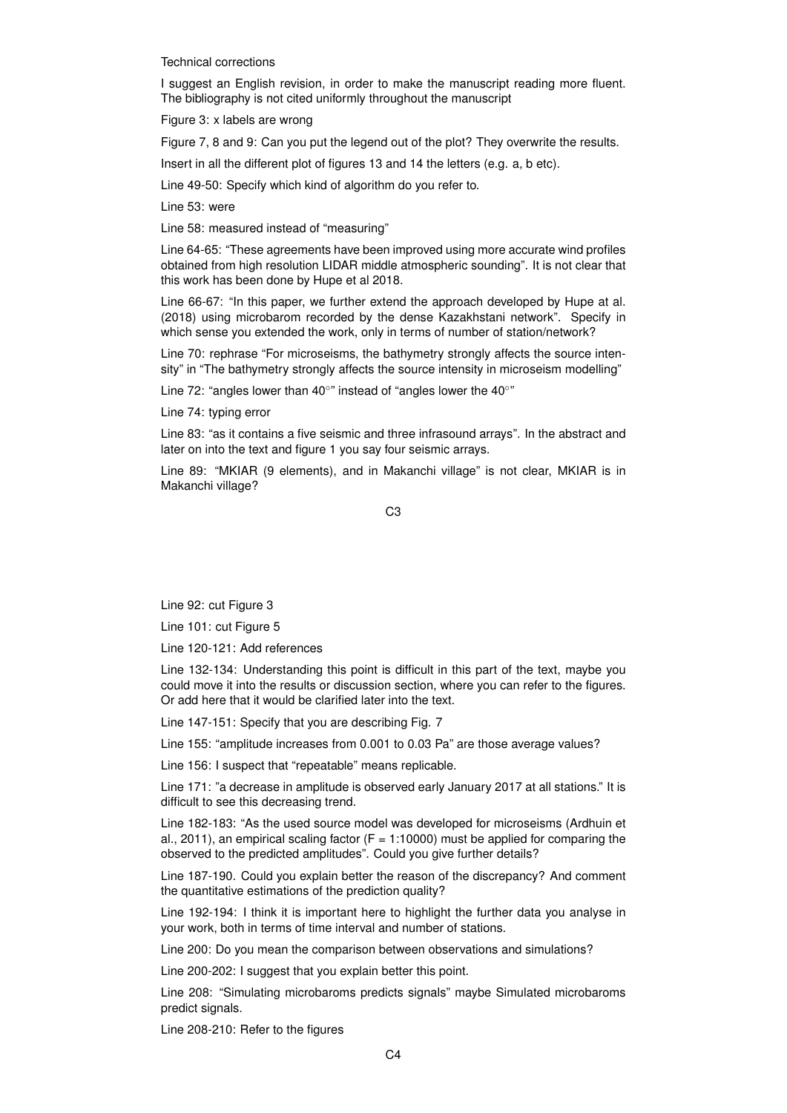Technical corrections

I suggest an English revision, in order to make the manuscript reading more fluent. The bibliography is not cited uniformly throughout the manuscript

Figure 3: x labels are wrong

Figure 7, 8 and 9: Can you put the legend out of the plot? They overwrite the results.

Insert in all the different plot of figures 13 and 14 the letters (e.g. a, b etc).

Line 49-50: Specify which kind of algorithm do you refer to.

Line 53: were

Line 58: measured instead of "measuring"

Line 64-65: "These agreements have been improved using more accurate wind profiles obtained from high resolution LIDAR middle atmospheric sounding". It is not clear that this work has been done by Hupe et al 2018.

Line 66-67: "In this paper, we further extend the approach developed by Hupe at al. (2018) using microbarom recorded by the dense Kazakhstani network". Specify in which sense you extended the work, only in terms of number of station/network?

Line 70: rephrase "For microseisms, the bathymetry strongly affects the source intensity" in "The bathymetry strongly affects the source intensity in microseism modelling"

Line 72: "angles lower than 40°" instead of "angles lower the 40°"

Line 74: typing error

Line 83: "as it contains a five seismic and three infrasound arrays". In the abstract and later on into the text and figure 1 you say four seismic arrays.

Line 89: "MKIAR (9 elements), and in Makanchi village" is not clear, MKIAR is in Makanchi village?

C3

Line 92: cut Figure 3

Line 101: cut Figure 5

Line 120-121: Add references

Line 132-134: Understanding this point is difficult in this part of the text, maybe you could move it into the results or discussion section, where you can refer to the figures. Or add here that it would be clarified later into the text.

Line 147-151: Specify that you are describing Fig. 7

Line 155: "amplitude increases from 0.001 to 0.03 Pa" are those average values?

Line 156: I suspect that "repeatable" means replicable.

Line 171: "a decrease in amplitude is observed early January 2017 at all stations." It is difficult to see this decreasing trend.

Line 182-183: "As the used source model was developed for microseisms (Ardhuin et al., 2011), an empirical scaling factor  $(F = 1:10000)$  must be applied for comparing the observed to the predicted amplitudes". Could you give further details?

Line 187-190. Could you explain better the reason of the discrepancy? And comment the quantitative estimations of the prediction quality?

Line 192-194: I think it is important here to highlight the further data you analyse in your work, both in terms of time interval and number of stations.

Line 200: Do you mean the comparison between observations and simulations?

Line 200-202: I suggest that you explain better this point.

Line 208: "Simulating microbaroms predicts signals" maybe Simulated microbaroms predict signals.

Line 208-210: Refer to the figures